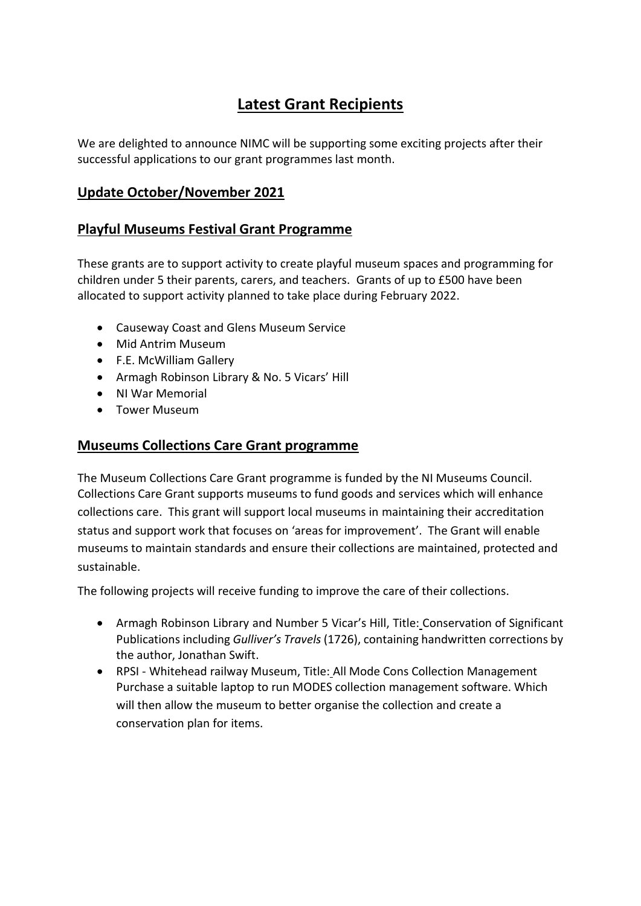# **Latest Grant Recipients**

We are delighted to announce NIMC will be supporting some exciting projects after their successful applications to our grant programmes last month.

### **Update October/November 2021**

#### **Playful Museums Festival Grant Programme**

These grants are to support activity to create playful museum spaces and programming for children under 5 their parents, carers, and teachers. Grants of up to £500 have been allocated to support activity planned to take place during February 2022.

- Causeway Coast and Glens Museum Service
- Mid Antrim Museum
- F.E. McWilliam Gallery
- Armagh Robinson Library & No. 5 Vicars' Hill
- NI War Memorial
- Tower Museum

#### **Museums Collections Care Grant programme**

The Museum Collections Care Grant programme is funded by the NI Museums Council. Collections Care Grant supports museums to fund goods and services which will enhance collections care. This grant will support local museums in maintaining their accreditation status and support work that focuses on 'areas for improvement'. The Grant will enable museums to maintain standards and ensure their collections are maintained, protected and sustainable.

The following projects will receive funding to improve the care of their collections.

- Armagh Robinson Library and Number 5 Vicar's Hill, Title: Conservation of Significant Publications including *Gulliver's Travels* (1726), containing handwritten corrections by the author, Jonathan Swift.
- RPSI Whitehead railway Museum, Title: All Mode Cons Collection Management Purchase a suitable laptop to run MODES collection management software. Which will then allow the museum to better organise the collection and create a conservation plan for items.